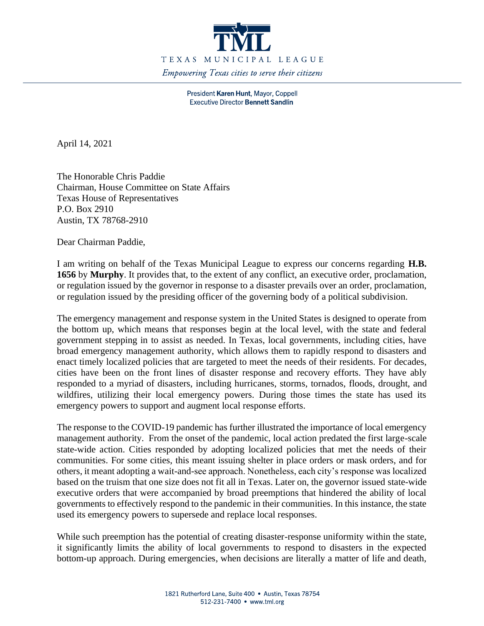

President Karen Hunt, Mayor, Coppell **Executive Director Bennett Sandlin** 

April 14, 2021

The Honorable Chris Paddie Chairman, House Committee on State Affairs Texas House of Representatives P.O. Box 2910 Austin, TX 78768-2910

Dear Chairman Paddie,

I am writing on behalf of the Texas Municipal League to express our concerns regarding **H.B. 1656** by **Murphy**. It provides that, to the extent of any conflict, an executive order, proclamation, or regulation issued by the governor in response to a disaster prevails over an order, proclamation, or regulation issued by the presiding officer of the governing body of a political subdivision.

The emergency management and response system in the United States is designed to operate from the bottom up, which means that responses begin at the local level, with the state and federal government stepping in to assist as needed. In Texas, local governments, including cities, have broad emergency management authority, which allows them to rapidly respond to disasters and enact timely localized policies that are targeted to meet the needs of their residents. For decades, cities have been on the front lines of disaster response and recovery efforts. They have ably responded to a myriad of disasters, including hurricanes, storms, tornados, floods, drought, and wildfires, utilizing their local emergency powers. During those times the state has used its emergency powers to support and augment local response efforts.

The response to the COVID-19 pandemic has further illustrated the importance of local emergency management authority. From the onset of the pandemic, local action predated the first large-scale state-wide action. Cities responded by adopting localized policies that met the needs of their communities. For some cities, this meant issuing shelter in place orders or mask orders, and for others, it meant adopting a wait-and-see approach. Nonetheless, each city's response was localized based on the truism that one size does not fit all in Texas. Later on, the governor issued state-wide executive orders that were accompanied by broad preemptions that hindered the ability of local governments to effectively respond to the pandemic in their communities. In this instance, the state used its emergency powers to supersede and replace local responses.

While such preemption has the potential of creating disaster-response uniformity within the state, it significantly limits the ability of local governments to respond to disasters in the expected bottom-up approach. During emergencies, when decisions are literally a matter of life and death,